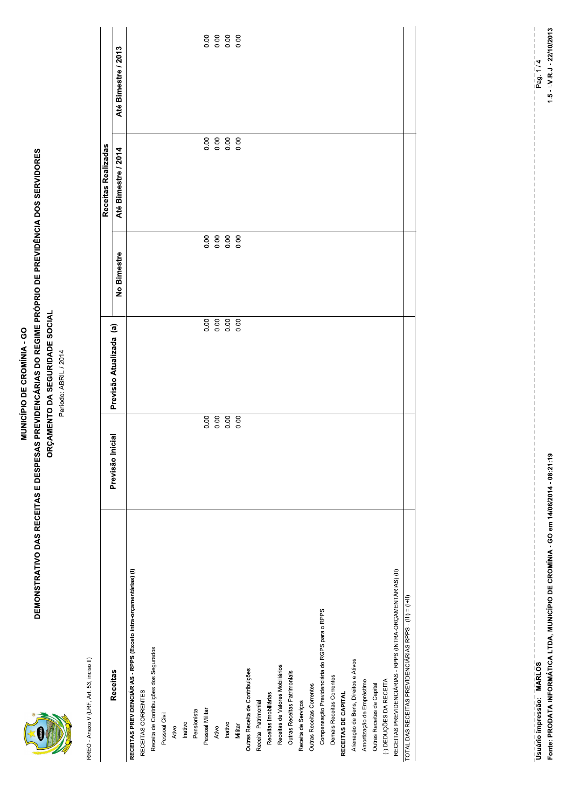|--|

### MUNICÍPIO DE CROMÍNIA - GO

# **DEMONSTRATIVO DAS RECEITAS E DESPESAS PREVIDENCÁRIAS DO REGIME PRÓPRIO DE PREVIDÊNCIA DOS SERVIDORES** ORÇAMENTO DA SEGURIDADE SOCIAL

Período: ABRIL / 2014

RREO - Anexo V (LRF, Art. 53, inciso II)

|                                                                  |                     |                         |             | Receitas Realizadas |                                 |
|------------------------------------------------------------------|---------------------|-------------------------|-------------|---------------------|---------------------------------|
| <b>Receitas</b>                                                  | Inicial<br>Previsão | Previsão Atualizada (a) |             |                     |                                 |
|                                                                  |                     |                         | No Bimestre | Até Bimestre / 2014 | Até Bimestre / 2013             |
| RECEITAS PREVIDENCIÁRIAS - RPPS (Exceto intra-orgamentárias) (I) |                     |                         |             |                     |                                 |
| RECEITAS CORRENTES                                               |                     |                         |             |                     |                                 |
| Receita de Contribuições dos Segurados                           |                     |                         |             |                     |                                 |
| Pessoal Civil                                                    |                     |                         |             |                     |                                 |
| Ativo                                                            |                     |                         |             |                     |                                 |
| Inativo                                                          |                     |                         |             |                     |                                 |
| Pensionista                                                      |                     |                         |             |                     |                                 |
| Pessoal Militar                                                  | 0.00                |                         |             |                     | 0.00                            |
| Ativo                                                            | 0.00                | 88888                   |             |                     | 8<br>8<br>0<br>0<br>0<br>0<br>0 |
| Inativo                                                          | 0.00                |                         |             |                     |                                 |
| Militar                                                          | 0.00                |                         |             |                     |                                 |
| Outras Receita de Contribuições                                  |                     |                         |             |                     |                                 |
| Receita Patrimonial                                              |                     |                         |             |                     |                                 |
| Receitas Imobiliárias                                            |                     |                         |             |                     |                                 |
| Receitas de Valores Mobiliários                                  |                     |                         |             |                     |                                 |
| Outras Receitas Patrimoniais                                     |                     |                         |             |                     |                                 |
| Receita de Serviços                                              |                     |                         |             |                     |                                 |
| Outras Receitas Correntes                                        |                     |                         |             |                     |                                 |
| Compensação Previdenciária do RGPS para o RPPS                   |                     |                         |             |                     |                                 |
| Demais Receitas Correntes                                        |                     |                         |             |                     |                                 |
| RECEITAS DE CAPITAL                                              |                     |                         |             |                     |                                 |
| Alienação de Bens, Direitos e Ativos                             |                     |                         |             |                     |                                 |
| Amortização de Empréstimo                                        |                     |                         |             |                     |                                 |
| Outras Receitas de Capital                                       |                     |                         |             |                     |                                 |
| (-) DEDUÇÕES DA RECEITA                                          |                     |                         |             |                     |                                 |
| RECEITAS PREVIDENCIÁRIAS - RPPS (INTRA-ORÇAMENTÁRIAS) (II)       |                     |                         |             |                     |                                 |
| TOTAL DAS RECEITAS PREVIDENCIÁRIAS RPPS - (III) = (I+II)         |                     |                         |             |                     |                                 |

Fonte: PRODATA INFORMÁTICA LTDA, MUNICÍPIO DE CROMÍNIA - GO em 14/06/2014 - 08:21:19 

 $1.5 - I.V.R.J - 22/10/2013$  $\frac{1}{P}$  ag. 1/4

 $11111$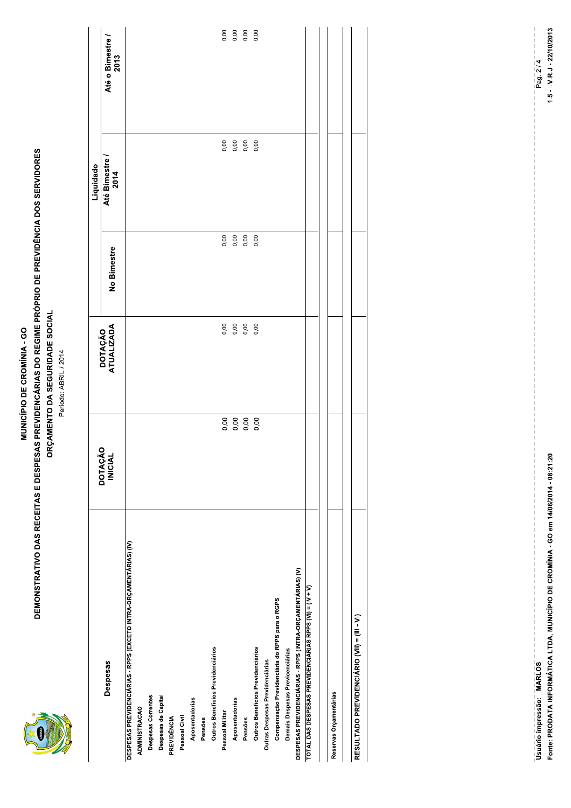#### MUNICÍPIO DE CROMÍNIA - GO

# **DEMONSTRATIVO DAS RECEITAS E DESPESAS PREVIDENCÁRIAS DO REGIME PRÓPRIO DE PREVIDÊNCIA DOS SERVIDORES** ORÇAMENTO DA SEGURIDADE SOCIAL

Período: ABRIL / 2014

|                                                                   |                                  |                       |                     | Liquidado              |                          |
|-------------------------------------------------------------------|----------------------------------|-----------------------|---------------------|------------------------|--------------------------|
| Despesas                                                          | <b>DOTAÇÃO</b><br><b>INICIAL</b> | DOTAÇÃO<br>ATUALIZADA | No Bimestre         | Até Bimestre /<br>2014 | Até o Bimestre /<br>2013 |
| DESPESAS PREVIDENCIÁRIAS - RPPS (EXCETO INTRA-ORÇAMENTÁRIAS) (IV) |                                  |                       |                     |                        |                          |
| <b>ADMINISTRACAO</b>                                              |                                  |                       |                     |                        |                          |
| Despesas Correntes                                                |                                  |                       |                     |                        |                          |
| Despesas de Capital                                               |                                  |                       |                     |                        |                          |
| PREVIDÊNCIA                                                       |                                  |                       |                     |                        |                          |
| Pessoal Civil                                                     |                                  |                       |                     |                        |                          |
| Aposentadorias                                                    |                                  |                       |                     |                        |                          |
| Pensões                                                           |                                  |                       |                     |                        |                          |
| Outros Benefícios Previdenciários                                 |                                  |                       |                     |                        |                          |
| Pessoal Militar                                                   |                                  | 0,00                  | 0,00                |                        | 0,00                     |
| Aposentadorias                                                    |                                  | 0,00                  |                     |                        |                          |
| Pensões                                                           |                                  | 0,00                  | 0,00<br>0,00<br>0,0 |                        | 0,00<br>0,00             |
| Outros Benefícios Previdenciários                                 |                                  | 0,00                  |                     |                        |                          |
| Outras Despesas Previdenciárias                                   |                                  |                       |                     |                        |                          |
| Compensação Previdenciária do RPPS para o RGPS                    |                                  |                       |                     |                        |                          |
| Demais Despesas Previcenciárias                                   |                                  |                       |                     |                        |                          |
| DESPESAS PREVIDENCIÁRIAS - RPPS (INTRA-ORÇAMENTÁRIAS) (V)         |                                  |                       |                     |                        |                          |
| TOTAL DAS DESPESAS PREVIDENCIÁRIAS RPPS (VI) = (IV + V)           |                                  |                       |                     |                        |                          |
|                                                                   |                                  |                       |                     |                        |                          |
| Reservas Orçamentárias                                            |                                  |                       |                     |                        |                          |
|                                                                   |                                  |                       |                     |                        |                          |
| RESULTADO PREVIDENCIÁRIO (VII) = (III - VI)                       |                                  |                       |                     |                        |                          |

Fonte: PRODATA INFORMÁTICA LTDA, MUNICÍPIO DE CROMÍNIA - GO em 14/06/2014 - 08:21:20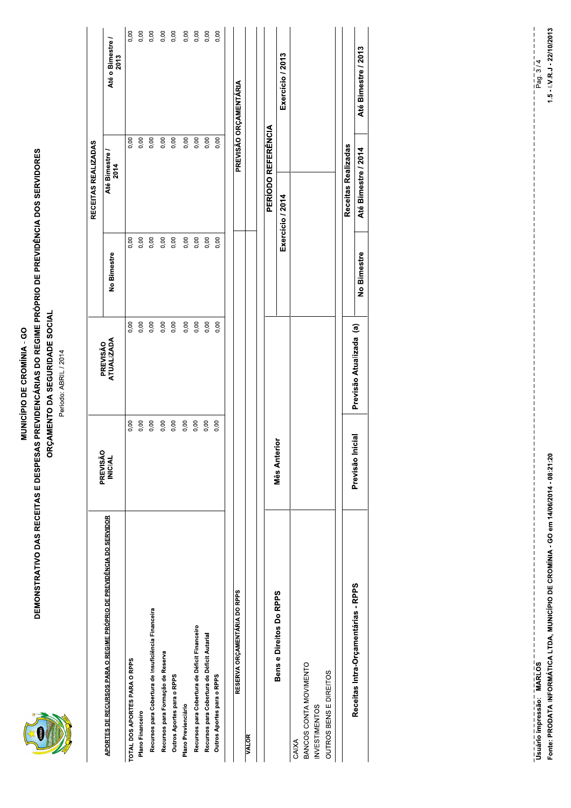|--|

#### MUNICÍPIO DE CROMÍNIA - GO

# **DEMONSTRATIVO DAS RECEITAS E DESPESAS PREVIDENCÁRIAS DO REGIME PRÓPRIO DE PREVIDÊNCIA DOS SERVIDORES** ORÇAMENTO DA SEGURIDADE SOCIAL

Período: ABRIL / 2014

|                                                                      |                            |                        |             | RECEITAS REALIZADAS       |                        |
|----------------------------------------------------------------------|----------------------------|------------------------|-------------|---------------------------|------------------------|
| APORTES DE RECURSOS PARA O REGIME PRÓPRIO DE PREVIDÊNCIA DO SERVIDOR | PREVISÃO<br><b>INICIAL</b> | PREVISÃO<br>ATUALIZADA | No Bimestre | Até Bimestre /<br>2014    | Até o Bimestre<br>2013 |
| TOTAL DOS APORTES PARA O RPPS                                        | 0,00                       | 0,00                   | 0,00        | 0,00                      | 0,00                   |
| Plano Financeiro                                                     | 0,00                       | 0,00                   | 0,00        | 0,00                      | 0,00                   |
| Recursos para Cobertura de Insuficiência Financeira                  | 0,00                       | 0,00                   | 0,00        | 0,00                      | 0,00                   |
| Recursos para Formação de Reserva                                    | 0,00                       | 0,00                   | 0,00        | 0,00                      | 0,00                   |
| Outros Aportes para o RPPS                                           | 0,00                       | 0,00                   | 0,00        | 0,00                      | 0,00                   |
| Plano Previenciário                                                  | 0,00                       | 0,00                   | 0,00        | 0,00                      | 0,00                   |
| Recursos para Cobertura de Déficit Financeiro                        | 0,00                       | 0,00                   | 0,00        | 0,00                      | 0,00                   |
| Recursos para Cobertura de Déficit Autarial                          | 0,00                       | 0,00                   | 0,00        | 0,00                      | 0,00                   |
| Outros Aportes para o RPPS                                           | 0,00                       | 0,00                   | 0,00        | 0,00                      | 0,00                   |
| RESERVA ORÇAMENTÁRIA DO RPPS                                         |                            |                        |             |                           | PREVISÃO ORÇAMENTÁRIA  |
| <b>VALOR</b>                                                         |                            |                        |             |                           |                        |
|                                                                      |                            |                        |             |                           |                        |
|                                                                      |                            |                        |             | <b>PERIODO REFERÊNCIA</b> |                        |
| Bens e Direitos Do RPPS                                              | Mês Anterior               |                        |             | Exercício / 2014          | Exercício / 2013       |
| CAIXA                                                                |                            |                        |             |                           |                        |
| BANCOS CONTA MOVIMENTO                                               |                            |                        |             |                           |                        |
| <b>INVESTIMENTOS</b>                                                 |                            |                        |             |                           |                        |
| OUTROS BENS E DIREITOS                                               |                            |                        |             |                           |                        |
|                                                                      |                            |                        |             |                           |                        |
|                                                                      |                            |                        |             | Receitas Realizadas       |                        |

Fonte: PRODATA INFORMÁTICA LTDA, MUNICÍPIO DE CROMÍNIA - GO em 14/06/2014 - 08:21:20 

 $11111$ 

Até Bimestre / 2013

Até Bimestre / 2014

No Bimestre

Previsão Atualizada (a)

Previsão Inicial

Receitas Intra-Orçamentárias - RPPS